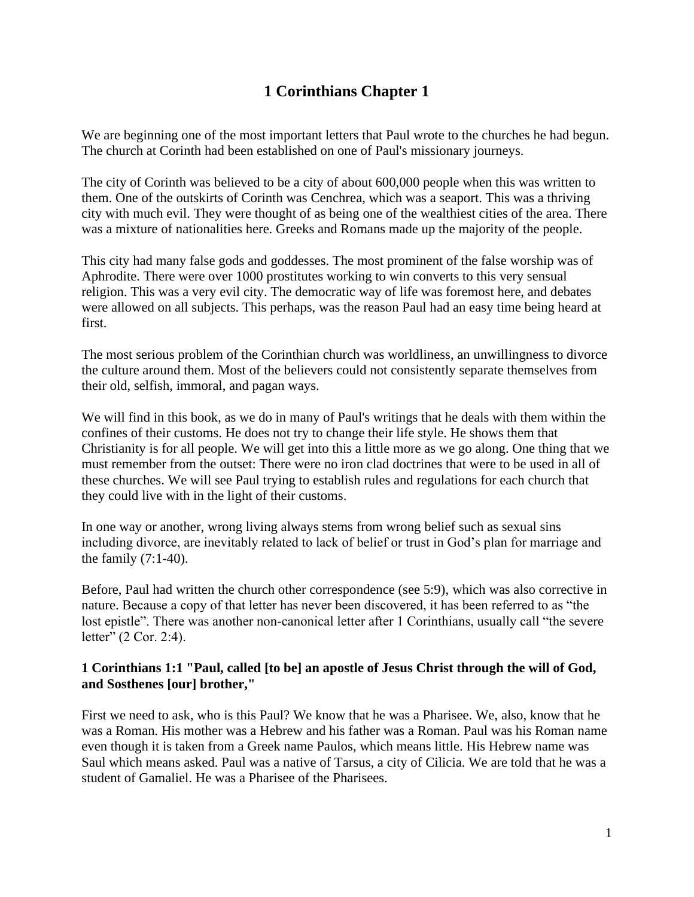# **1 Corinthians Chapter 1**

We are beginning one of the most important letters that Paul wrote to the churches he had begun. The church at Corinth had been established on one of Paul's missionary journeys.

The city of Corinth was believed to be a city of about 600,000 people when this was written to them. One of the outskirts of Corinth was Cenchrea, which was a seaport. This was a thriving city with much evil. They were thought of as being one of the wealthiest cities of the area. There was a mixture of nationalities here. Greeks and Romans made up the majority of the people.

This city had many false gods and goddesses. The most prominent of the false worship was of Aphrodite. There were over 1000 prostitutes working to win converts to this very sensual religion. This was a very evil city. The democratic way of life was foremost here, and debates were allowed on all subjects. This perhaps, was the reason Paul had an easy time being heard at first.

The most serious problem of the Corinthian church was worldliness, an unwillingness to divorce the culture around them. Most of the believers could not consistently separate themselves from their old, selfish, immoral, and pagan ways.

We will find in this book, as we do in many of Paul's writings that he deals with them within the confines of their customs. He does not try to change their life style. He shows them that Christianity is for all people. We will get into this a little more as we go along. One thing that we must remember from the outset: There were no iron clad doctrines that were to be used in all of these churches. We will see Paul trying to establish rules and regulations for each church that they could live with in the light of their customs.

In one way or another, wrong living always stems from wrong belief such as sexual sins including divorce, are inevitably related to lack of belief or trust in God's plan for marriage and the family  $(7:1-40)$ .

Before, Paul had written the church other correspondence (see 5:9), which was also corrective in nature. Because a copy of that letter has never been discovered, it has been referred to as "the lost epistle". There was another non-canonical letter after 1 Corinthians, usually call "the severe letter" (2 Cor. 2:4).

### **1 Corinthians 1:1 "Paul, called [to be] an apostle of Jesus Christ through the will of God, and Sosthenes [our] brother,"**

First we need to ask, who is this Paul? We know that he was a Pharisee. We, also, know that he was a Roman. His mother was a Hebrew and his father was a Roman. Paul was his Roman name even though it is taken from a Greek name Paulos, which means little. His Hebrew name was Saul which means asked. Paul was a native of Tarsus, a city of Cilicia. We are told that he was a student of Gamaliel. He was a Pharisee of the Pharisees.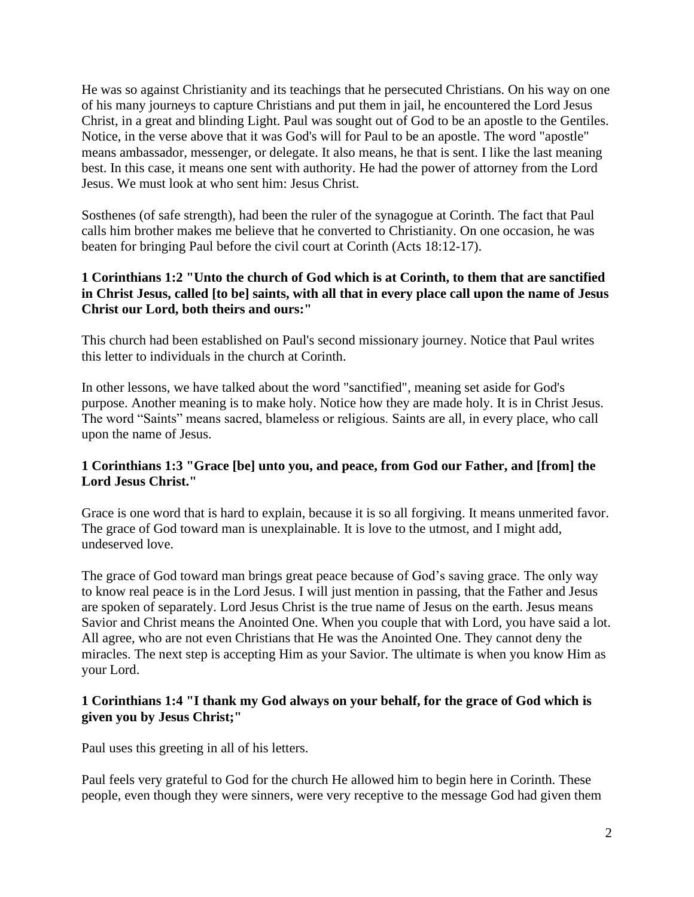He was so against Christianity and its teachings that he persecuted Christians. On his way on one of his many journeys to capture Christians and put them in jail, he encountered the Lord Jesus Christ, in a great and blinding Light. Paul was sought out of God to be an apostle to the Gentiles. Notice, in the verse above that it was God's will for Paul to be an apostle. The word "apostle" means ambassador, messenger, or delegate. It also means, he that is sent. I like the last meaning best. In this case, it means one sent with authority. He had the power of attorney from the Lord Jesus. We must look at who sent him: Jesus Christ.

Sosthenes (of safe strength), had been the ruler of the synagogue at Corinth. The fact that Paul calls him brother makes me believe that he converted to Christianity. On one occasion, he was beaten for bringing Paul before the civil court at Corinth (Acts 18:12-17).

# **1 Corinthians 1:2 "Unto the church of God which is at Corinth, to them that are sanctified in Christ Jesus, called [to be] saints, with all that in every place call upon the name of Jesus Christ our Lord, both theirs and ours:"**

This church had been established on Paul's second missionary journey. Notice that Paul writes this letter to individuals in the church at Corinth.

In other lessons, we have talked about the word "sanctified", meaning set aside for God's purpose. Another meaning is to make holy. Notice how they are made holy. It is in Christ Jesus. The word "Saints" means sacred, blameless or religious. Saints are all, in every place, who call upon the name of Jesus.

### **1 Corinthians 1:3 "Grace [be] unto you, and peace, from God our Father, and [from] the Lord Jesus Christ."**

Grace is one word that is hard to explain, because it is so all forgiving. It means unmerited favor. The grace of God toward man is unexplainable. It is love to the utmost, and I might add, undeserved love.

The grace of God toward man brings great peace because of God's saving grace. The only way to know real peace is in the Lord Jesus. I will just mention in passing, that the Father and Jesus are spoken of separately. Lord Jesus Christ is the true name of Jesus on the earth. Jesus means Savior and Christ means the Anointed One. When you couple that with Lord, you have said a lot. All agree, who are not even Christians that He was the Anointed One. They cannot deny the miracles. The next step is accepting Him as your Savior. The ultimate is when you know Him as your Lord.

# **1 Corinthians 1:4 "I thank my God always on your behalf, for the grace of God which is given you by Jesus Christ;"**

Paul uses this greeting in all of his letters.

Paul feels very grateful to God for the church He allowed him to begin here in Corinth. These people, even though they were sinners, were very receptive to the message God had given them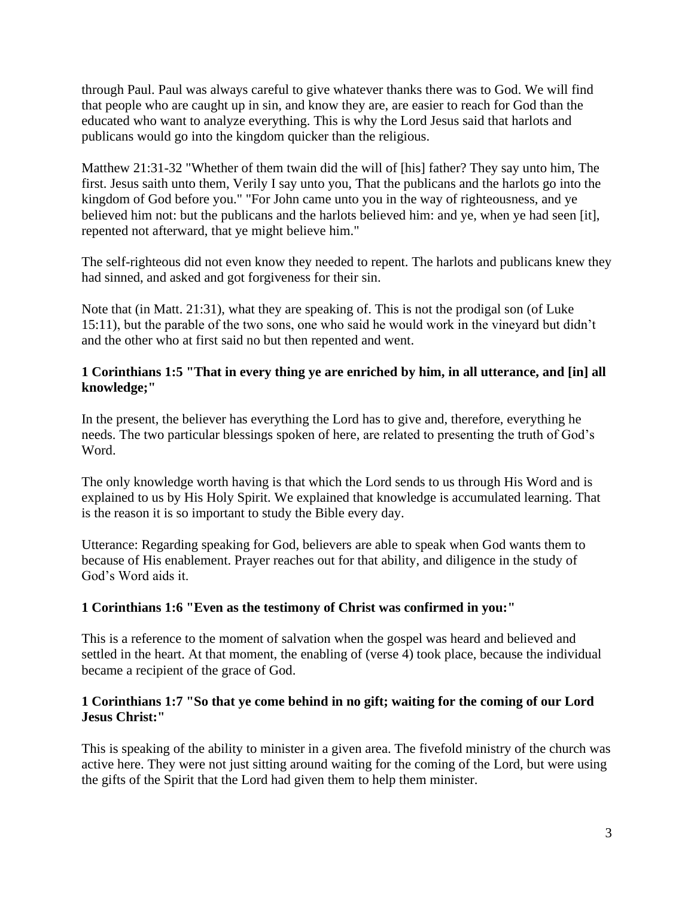through Paul. Paul was always careful to give whatever thanks there was to God. We will find that people who are caught up in sin, and know they are, are easier to reach for God than the educated who want to analyze everything. This is why the Lord Jesus said that harlots and publicans would go into the kingdom quicker than the religious.

Matthew 21:31-32 "Whether of them twain did the will of [his] father? They say unto him, The first. Jesus saith unto them, Verily I say unto you, That the publicans and the harlots go into the kingdom of God before you." "For John came unto you in the way of righteousness, and ye believed him not: but the publicans and the harlots believed him: and ye, when ye had seen [it], repented not afterward, that ye might believe him."

The self-righteous did not even know they needed to repent. The harlots and publicans knew they had sinned, and asked and got forgiveness for their sin.

Note that (in Matt. 21:31), what they are speaking of. This is not the prodigal son (of Luke 15:11), but the parable of the two sons, one who said he would work in the vineyard but didn't and the other who at first said no but then repented and went.

# **1 Corinthians 1:5 "That in every thing ye are enriched by him, in all utterance, and [in] all knowledge;"**

In the present, the believer has everything the Lord has to give and, therefore, everything he needs. The two particular blessings spoken of here, are related to presenting the truth of God's Word.

The only knowledge worth having is that which the Lord sends to us through His Word and is explained to us by His Holy Spirit. We explained that knowledge is accumulated learning. That is the reason it is so important to study the Bible every day.

Utterance: Regarding speaking for God, believers are able to speak when God wants them to because of His enablement. Prayer reaches out for that ability, and diligence in the study of God's Word aids it.

# **1 Corinthians 1:6 "Even as the testimony of Christ was confirmed in you:"**

This is a reference to the moment of salvation when the gospel was heard and believed and settled in the heart. At that moment, the enabling of (verse 4) took place, because the individual became a recipient of the grace of God.

# **1 Corinthians 1:7 "So that ye come behind in no gift; waiting for the coming of our Lord Jesus Christ:"**

This is speaking of the ability to minister in a given area. The fivefold ministry of the church was active here. They were not just sitting around waiting for the coming of the Lord, but were using the gifts of the Spirit that the Lord had given them to help them minister.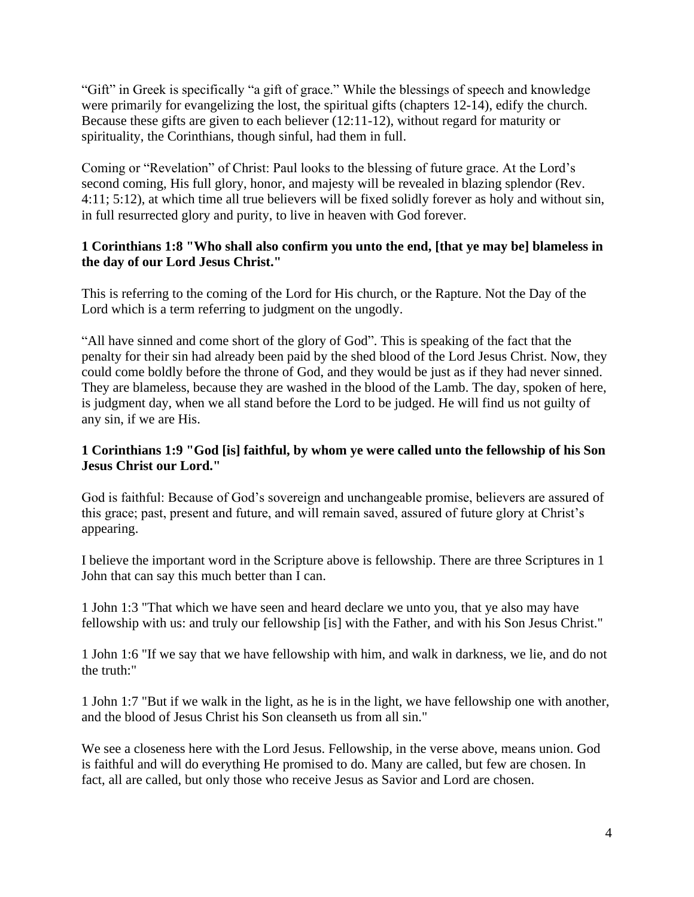"Gift" in Greek is specifically "a gift of grace." While the blessings of speech and knowledge were primarily for evangelizing the lost, the spiritual gifts (chapters 12-14), edify the church. Because these gifts are given to each believer (12:11-12), without regard for maturity or spirituality, the Corinthians, though sinful, had them in full.

Coming or "Revelation" of Christ: Paul looks to the blessing of future grace. At the Lord's second coming, His full glory, honor, and majesty will be revealed in blazing splendor (Rev. 4:11; 5:12), at which time all true believers will be fixed solidly forever as holy and without sin, in full resurrected glory and purity, to live in heaven with God forever.

# **1 Corinthians 1:8 "Who shall also confirm you unto the end, [that ye may be] blameless in the day of our Lord Jesus Christ."**

This is referring to the coming of the Lord for His church, or the Rapture. Not the Day of the Lord which is a term referring to judgment on the ungodly.

"All have sinned and come short of the glory of God". This is speaking of the fact that the penalty for their sin had already been paid by the shed blood of the Lord Jesus Christ. Now, they could come boldly before the throne of God, and they would be just as if they had never sinned. They are blameless, because they are washed in the blood of the Lamb. The day, spoken of here, is judgment day, when we all stand before the Lord to be judged. He will find us not guilty of any sin, if we are His.

# **1 Corinthians 1:9 "God [is] faithful, by whom ye were called unto the fellowship of his Son Jesus Christ our Lord."**

God is faithful: Because of God's sovereign and unchangeable promise, believers are assured of this grace; past, present and future, and will remain saved, assured of future glory at Christ's appearing.

I believe the important word in the Scripture above is fellowship. There are three Scriptures in 1 John that can say this much better than I can.

1 John 1:3 "That which we have seen and heard declare we unto you, that ye also may have fellowship with us: and truly our fellowship [is] with the Father, and with his Son Jesus Christ."

1 John 1:6 "If we say that we have fellowship with him, and walk in darkness, we lie, and do not the truth:"

1 John 1:7 "But if we walk in the light, as he is in the light, we have fellowship one with another, and the blood of Jesus Christ his Son cleanseth us from all sin."

We see a closeness here with the Lord Jesus. Fellowship, in the verse above, means union. God is faithful and will do everything He promised to do. Many are called, but few are chosen. In fact, all are called, but only those who receive Jesus as Savior and Lord are chosen.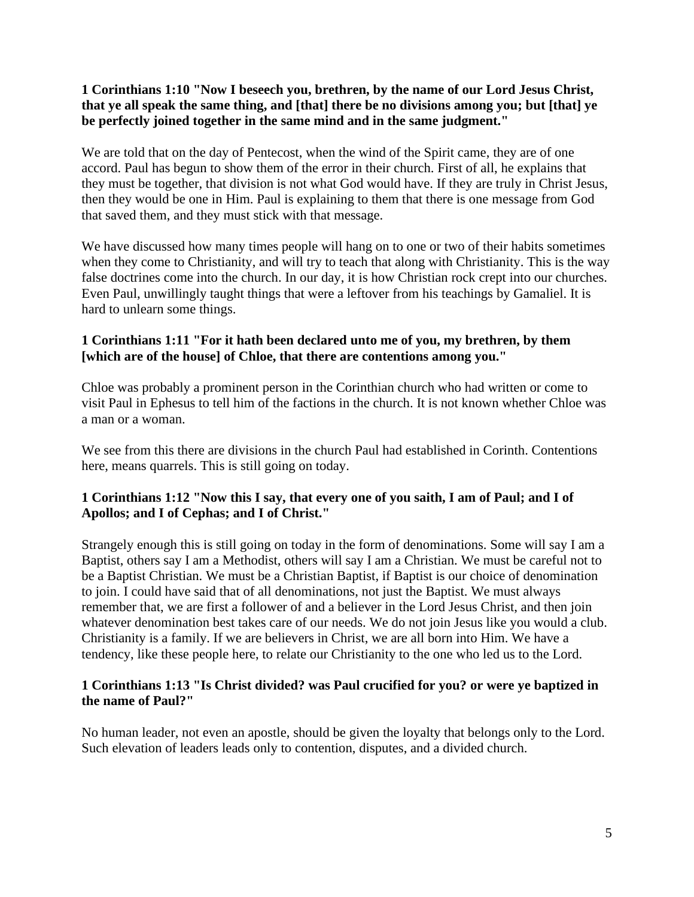## **1 Corinthians 1:10 "Now I beseech you, brethren, by the name of our Lord Jesus Christ, that ye all speak the same thing, and [that] there be no divisions among you; but [that] ye be perfectly joined together in the same mind and in the same judgment."**

We are told that on the day of Pentecost, when the wind of the Spirit came, they are of one accord. Paul has begun to show them of the error in their church. First of all, he explains that they must be together, that division is not what God would have. If they are truly in Christ Jesus, then they would be one in Him. Paul is explaining to them that there is one message from God that saved them, and they must stick with that message.

We have discussed how many times people will hang on to one or two of their habits sometimes when they come to Christianity, and will try to teach that along with Christianity. This is the way false doctrines come into the church. In our day, it is how Christian rock crept into our churches. Even Paul, unwillingly taught things that were a leftover from his teachings by Gamaliel. It is hard to unlearn some things.

# **1 Corinthians 1:11 "For it hath been declared unto me of you, my brethren, by them [which are of the house] of Chloe, that there are contentions among you."**

Chloe was probably a prominent person in the Corinthian church who had written or come to visit Paul in Ephesus to tell him of the factions in the church. It is not known whether Chloe was a man or a woman.

We see from this there are divisions in the church Paul had established in Corinth. Contentions here, means quarrels. This is still going on today.

# **1 Corinthians 1:12 "Now this I say, that every one of you saith, I am of Paul; and I of Apollos; and I of Cephas; and I of Christ."**

Strangely enough this is still going on today in the form of denominations. Some will say I am a Baptist, others say I am a Methodist, others will say I am a Christian. We must be careful not to be a Baptist Christian. We must be a Christian Baptist, if Baptist is our choice of denomination to join. I could have said that of all denominations, not just the Baptist. We must always remember that, we are first a follower of and a believer in the Lord Jesus Christ, and then join whatever denomination best takes care of our needs. We do not join Jesus like you would a club. Christianity is a family. If we are believers in Christ, we are all born into Him. We have a tendency, like these people here, to relate our Christianity to the one who led us to the Lord.

# **1 Corinthians 1:13 "Is Christ divided? was Paul crucified for you? or were ye baptized in the name of Paul?"**

No human leader, not even an apostle, should be given the loyalty that belongs only to the Lord. Such elevation of leaders leads only to contention, disputes, and a divided church.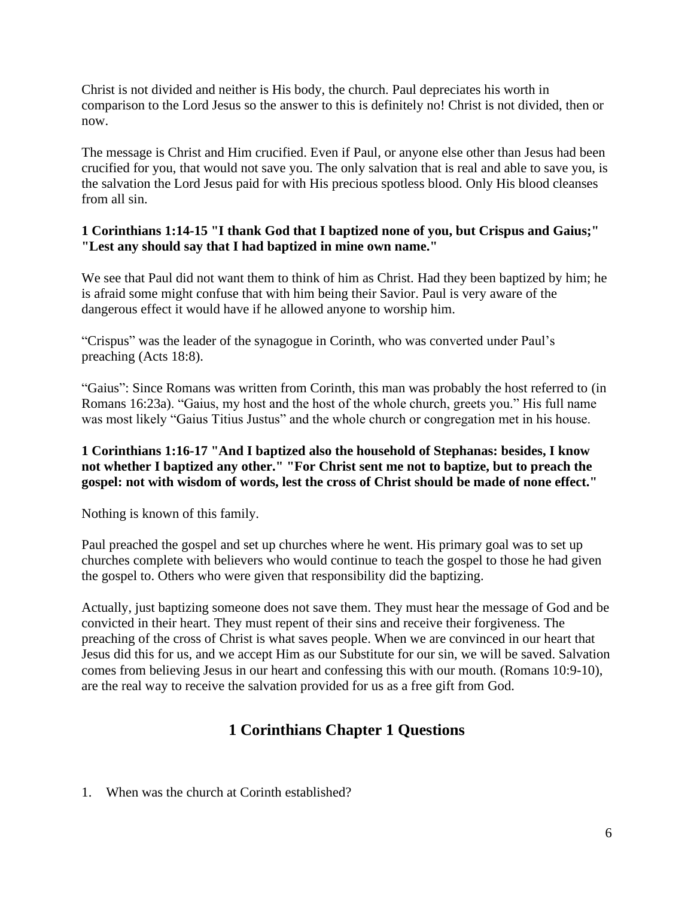Christ is not divided and neither is His body, the church. Paul depreciates his worth in comparison to the Lord Jesus so the answer to this is definitely no! Christ is not divided, then or now.

The message is Christ and Him crucified. Even if Paul, or anyone else other than Jesus had been crucified for you, that would not save you. The only salvation that is real and able to save you, is the salvation the Lord Jesus paid for with His precious spotless blood. Only His blood cleanses from all sin.

## **1 Corinthians 1:14-15 "I thank God that I baptized none of you, but Crispus and Gaius;" "Lest any should say that I had baptized in mine own name."**

We see that Paul did not want them to think of him as Christ. Had they been baptized by him; he is afraid some might confuse that with him being their Savior. Paul is very aware of the dangerous effect it would have if he allowed anyone to worship him.

"Crispus" was the leader of the synagogue in Corinth, who was converted under Paul's preaching (Acts 18:8).

"Gaius": Since Romans was written from Corinth, this man was probably the host referred to (in Romans 16:23a). "Gaius, my host and the host of the whole church, greets you." His full name was most likely "Gaius Titius Justus" and the whole church or congregation met in his house.

## **1 Corinthians 1:16-17 "And I baptized also the household of Stephanas: besides, I know not whether I baptized any other." "For Christ sent me not to baptize, but to preach the gospel: not with wisdom of words, lest the cross of Christ should be made of none effect."**

Nothing is known of this family.

Paul preached the gospel and set up churches where he went. His primary goal was to set up churches complete with believers who would continue to teach the gospel to those he had given the gospel to. Others who were given that responsibility did the baptizing.

Actually, just baptizing someone does not save them. They must hear the message of God and be convicted in their heart. They must repent of their sins and receive their forgiveness. The preaching of the cross of Christ is what saves people. When we are convinced in our heart that Jesus did this for us, and we accept Him as our Substitute for our sin, we will be saved. Salvation comes from believing Jesus in our heart and confessing this with our mouth. (Romans 10:9-10), are the real way to receive the salvation provided for us as a free gift from God.

# **1 Corinthians Chapter 1 Questions**

1. When was the church at Corinth established?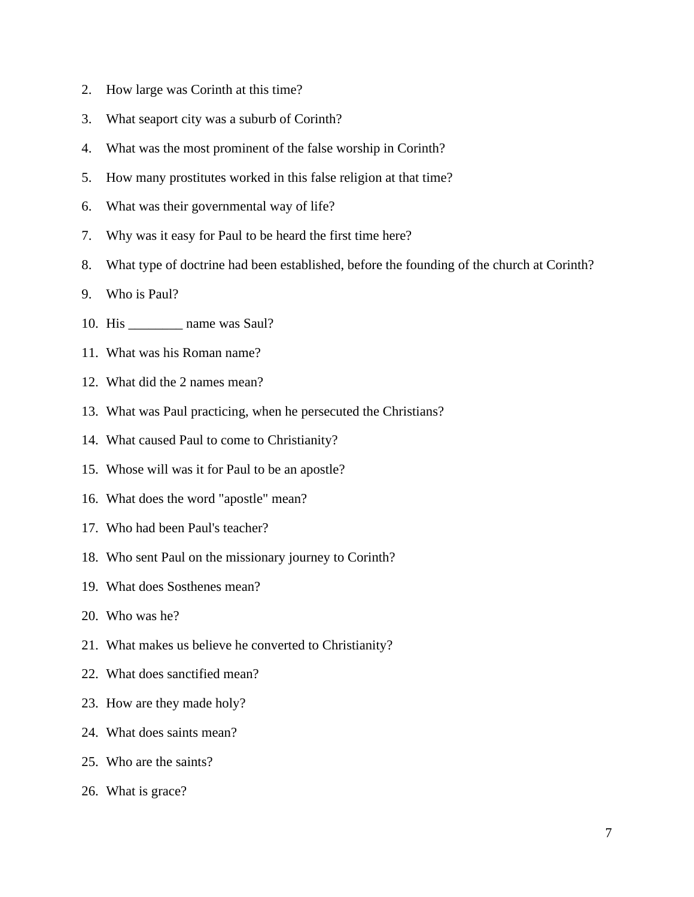- 2. How large was Corinth at this time?
- 3. What seaport city was a suburb of Corinth?
- 4. What was the most prominent of the false worship in Corinth?
- 5. How many prostitutes worked in this false religion at that time?
- 6. What was their governmental way of life?
- 7. Why was it easy for Paul to be heard the first time here?
- 8. What type of doctrine had been established, before the founding of the church at Corinth?
- 9. Who is Paul?
- 10. His \_\_\_\_\_\_\_\_ name was Saul?
- 11. What was his Roman name?
- 12. What did the 2 names mean?
- 13. What was Paul practicing, when he persecuted the Christians?
- 14. What caused Paul to come to Christianity?
- 15. Whose will was it for Paul to be an apostle?
- 16. What does the word "apostle" mean?
- 17. Who had been Paul's teacher?
- 18. Who sent Paul on the missionary journey to Corinth?
- 19. What does Sosthenes mean?
- 20. Who was he?
- 21. What makes us believe he converted to Christianity?
- 22. What does sanctified mean?
- 23. How are they made holy?
- 24. What does saints mean?
- 25. Who are the saints?
- 26. What is grace?